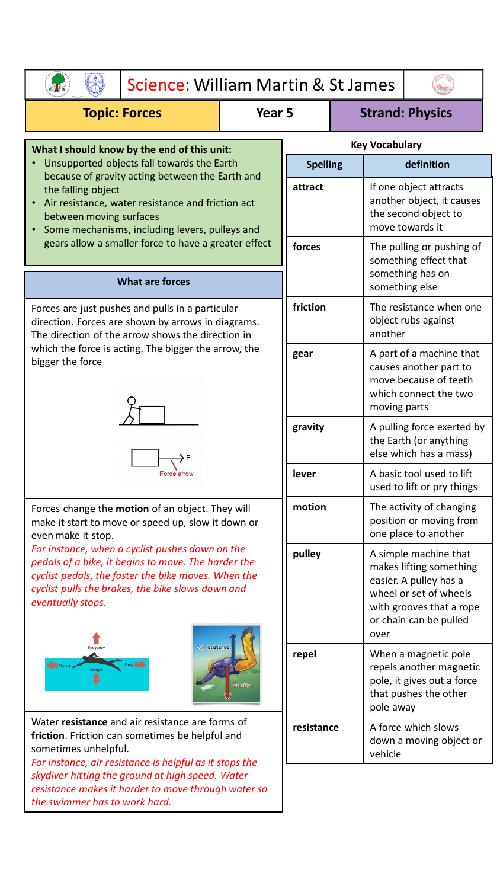| Science: William Martin & St James                                                                                                                                                                                                                                                      |                                             |                  |                                                                                                |                                                                                                                                                                    |                                                                                                      |  |  |
|-----------------------------------------------------------------------------------------------------------------------------------------------------------------------------------------------------------------------------------------------------------------------------------------|---------------------------------------------|------------------|------------------------------------------------------------------------------------------------|--------------------------------------------------------------------------------------------------------------------------------------------------------------------|------------------------------------------------------------------------------------------------------|--|--|
| <b>Topic: Forces</b>                                                                                                                                                                                                                                                                    | <b>Strand: Physics</b><br>Year <sub>5</sub> |                  |                                                                                                |                                                                                                                                                                    |                                                                                                      |  |  |
| What I should know by the end of this unit:                                                                                                                                                                                                                                             | <b>Key Vocabulary</b>                       |                  |                                                                                                |                                                                                                                                                                    |                                                                                                      |  |  |
| Unsupported objects fall towards the Earth<br>because of gravity acting between the Earth and                                                                                                                                                                                           | <b>Spelling</b>                             |                  | definition                                                                                     |                                                                                                                                                                    |                                                                                                      |  |  |
| the falling object<br>Air resistance, water resistance and friction act<br>between moving surfaces<br>Some mechanisms, including levers, pulleys and                                                                                                                                    | attract<br>forces                           |                  | If one object attracts<br>another object, it causes<br>the second object to<br>move towards it |                                                                                                                                                                    |                                                                                                      |  |  |
| gears allow a smaller force to have a greater effect                                                                                                                                                                                                                                    |                                             |                  | The pulling or pushing of<br>something effect that<br>something has on<br>something else       |                                                                                                                                                                    |                                                                                                      |  |  |
| <b>What are forces</b>                                                                                                                                                                                                                                                                  |                                             |                  |                                                                                                |                                                                                                                                                                    |                                                                                                      |  |  |
| Forces are just pushes and pulls in a particular<br>direction. Forces are shown by arrows in diagrams.<br>The direction of the arrow shows the direction in                                                                                                                             |                                             | friction         |                                                                                                | The resistance when one<br>object rubs against<br>another                                                                                                          |                                                                                                      |  |  |
| which the force is acting. The bigger the arrow, the<br>bigger the force                                                                                                                                                                                                                |                                             | gear             |                                                                                                |                                                                                                                                                                    | A part of a machine that<br>causes another part to<br>move because of teeth<br>which connect the two |  |  |
|                                                                                                                                                                                                                                                                                         |                                             |                  |                                                                                                | moving parts                                                                                                                                                       |                                                                                                      |  |  |
|                                                                                                                                                                                                                                                                                         |                                             | gravity          |                                                                                                | A pulling force exerted by<br>the Earth (or anything<br>else which has a mass)                                                                                     |                                                                                                      |  |  |
| Force arrow                                                                                                                                                                                                                                                                             |                                             | lever            |                                                                                                | A basic tool used to lift<br>used to lift or pry things                                                                                                            |                                                                                                      |  |  |
| Forces change the motion of an object. They will<br>make it start to move or speed up, slow it down or<br>even make it stop.                                                                                                                                                            |                                             | motion<br>pulley |                                                                                                | The activity of changing<br>position or moving from<br>one place to another                                                                                        |                                                                                                      |  |  |
| For instance, when a cyclist pushes down on the<br>pedals of a bike, it begins to move. The harder the<br>cyclist pedals, the faster the bike moves. When the<br>cyclist pulls the brakes, the bike slows down and<br>eventually stops.<br>Air resistance<br>Buoyancy<br>Drag<br>Weight |                                             |                  |                                                                                                | A simple machine that<br>makes lifting something<br>easier. A pulley has a<br>wheel or set of wheels<br>with grooves that a rope<br>or chain can be pulled<br>over |                                                                                                      |  |  |
|                                                                                                                                                                                                                                                                                         | Gravity                                     | repel            |                                                                                                | When a magnetic pole<br>repels another magnetic<br>pole, it gives out a force<br>that pushes the other<br>pole away                                                |                                                                                                      |  |  |
| Water resistance and air resistance are forms of<br>friction. Friction can sometimes be helpful and<br>sometimes unhelpful.<br>For instance, air resistance is helpful as it stops the                                                                                                  |                                             | resistance       |                                                                                                | vehicle                                                                                                                                                            | A force which slows<br>down a moving object or                                                       |  |  |
| skydiver hitting the ground at high speed. Water<br>resistance makes it harder to move through water so<br>the swimmer has to work hard.                                                                                                                                                |                                             |                  |                                                                                                |                                                                                                                                                                    |                                                                                                      |  |  |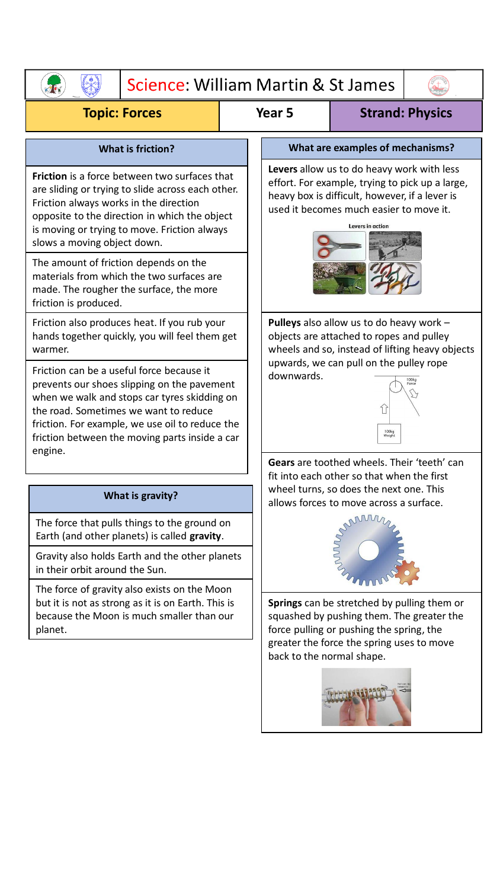|                                                                                                                                                                                                                                                                                                                                                                                                                                               | Science: William Martin & St James |                                                                                                                                                                                                                |  |  |  |  |  |  |
|-----------------------------------------------------------------------------------------------------------------------------------------------------------------------------------------------------------------------------------------------------------------------------------------------------------------------------------------------------------------------------------------------------------------------------------------------|------------------------------------|----------------------------------------------------------------------------------------------------------------------------------------------------------------------------------------------------------------|--|--|--|--|--|--|
| <b>Topic: Forces</b>                                                                                                                                                                                                                                                                                                                                                                                                                          |                                    | Year <sub>5</sub><br><b>Strand: Physics</b>                                                                                                                                                                    |  |  |  |  |  |  |
| <b>What is friction?</b>                                                                                                                                                                                                                                                                                                                                                                                                                      |                                    | What are examples of mechanisms?                                                                                                                                                                               |  |  |  |  |  |  |
| <b>Friction</b> is a force between two surfaces that<br>are sliding or trying to slide across each other.<br>Friction always works in the direction<br>opposite to the direction in which the object<br>is moving or trying to move. Friction always<br>slows a moving object down.<br>The amount of friction depends on the<br>materials from which the two surfaces are<br>made. The rougher the surface, the more<br>friction is produced. |                                    | Levers allow us to do heavy work with less<br>effort. For example, trying to pick up a large,<br>heavy box is difficult, however, if a lever is<br>used it becomes much easier to move it.<br>Levers in action |  |  |  |  |  |  |
| Friction also produces heat. If you rub your<br>hands together quickly, you will feel them get<br>warmer.                                                                                                                                                                                                                                                                                                                                     |                                    | Pulleys also allow us to do heavy work -<br>objects are attached to ropes and pulley<br>wheels and so, instead of lifting heavy objects                                                                        |  |  |  |  |  |  |
| Friction can be a useful force because it<br>prevents our shoes slipping on the pavement<br>when we walk and stops car tyres skidding on<br>the road. Sometimes we want to reduce<br>friction. For example, we use oil to reduce the<br>friction between the moving parts inside a car<br>engine.                                                                                                                                             |                                    | upwards, we can pull on the pulley rope<br>downwards.<br>100kg<br>Weight                                                                                                                                       |  |  |  |  |  |  |
|                                                                                                                                                                                                                                                                                                                                                                                                                                               |                                    | Gears are toothed wheels. Their 'teeth' can<br>fit into each other so that when the first                                                                                                                      |  |  |  |  |  |  |
| What is gravity?                                                                                                                                                                                                                                                                                                                                                                                                                              |                                    | wheel turns, so does the next one. This<br>allows forces to move across a surface.                                                                                                                             |  |  |  |  |  |  |
| The force that pulls things to the ground on<br>Earth (and other planets) is called gravity.<br>Gravity also holds Earth and the other planets                                                                                                                                                                                                                                                                                                |                                    |                                                                                                                                                                                                                |  |  |  |  |  |  |
| in their orbit around the Sun.                                                                                                                                                                                                                                                                                                                                                                                                                |                                    |                                                                                                                                                                                                                |  |  |  |  |  |  |
| The force of gravity also exists on the Moon<br>but it is not as strong as it is on Earth. This is<br>because the Moon is much smaller than our<br>planet.                                                                                                                                                                                                                                                                                    |                                    | Springs can be stretched by pulling them or<br>squashed by pushing them. The greater the<br>force pulling or pushing the spring, the<br>greater the force the spring uses to move<br>back to the normal shape. |  |  |  |  |  |  |
|                                                                                                                                                                                                                                                                                                                                                                                                                                               |                                    |                                                                                                                                                                                                                |  |  |  |  |  |  |